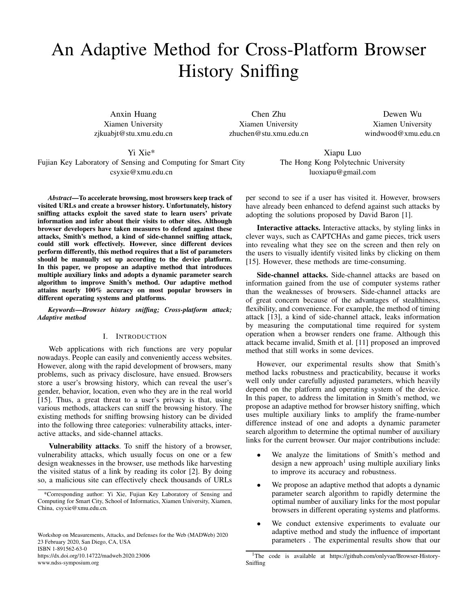# An Adaptive Method for Cross-Platform Browser History Sniffing

Anxin Huang Xiamen University zjkuabjt@stu.xmu.edu.cn

Chen Zhu Xiamen University zhuchen@stu.xmu.edu.cn

Dewen Wu Xiamen University windwood@xmu.edu.cn

# Yi Xie\*

Fujian Key Laboratory of Sensing and Computing for Smart City csyxie@xmu.edu.cn

*Abstract*—To accelerate browsing, most browsers keep track of visited URLs and create a browser history. Unfortunately, history sniffing attacks exploit the saved state to learn users' private information and infer about their visits to other sites. Although browser developers have taken measures to defend against these attacks, Smith's method, a kind of side-channel sniffing attack, could still work effectively. However, since different devices perform differently, this method requires that a list of parameters should be manually set up according to the device platform. In this paper, we propose an adaptive method that introduces multiple auxiliary links and adopts a dynamic parameter search algorithm to improve Smith's method. Our adaptive method attains nearly 100% accuracy on most popular browsers in different operating systems and platforms.

*Keywords*—*Browser history sniffing; Cross-platform attack; Adaptive method*

# I. INTRODUCTION

Web applications with rich functions are very popular nowadays. People can easily and conveniently access websites. However, along with the rapid development of browsers, many problems, such as privacy disclosure, have ensued. Browsers store a user's browsing history, which can reveal the user's gender, behavior, location, even who they are in the real world [\[15\]](#page-6-0). Thus, a great threat to a user's privacy is that, using various methods, attackers can sniff the browsing history. The existing methods for sniffing browsing history can be divided into the following three categories: vulnerability attacks, interactive attacks, and side-channel attacks.

Vulnerability attacks. To sniff the history of a browser, vulnerability attacks, which usually focus on one or a few design weaknesses in the browser, use methods like harvesting the visited status of a link by reading its color [\[2\]](#page-6-1). By doing so, a malicious site can effectively check thousands of URLs

Workshop on Measurements, Attacks, and Defenses for the Web (MADWeb) 2020 23 February 2020, San Diego, CA, USA ISBN 1-891562-63-0 https://dx.doi.org/10.14722/madweb.2020.23006 www.ndss-symposium.org

Xiapu Luo The Hong Kong Polytechnic University luoxiapu@gmail.com

per second to see if a user has visited it. However, browsers have already been enhanced to defend against such attacks by adopting the solutions proposed by David Baron [\[1\]](#page-6-2).

Interactive attacks. Interactive attacks, by styling links in clever ways, such as CAPTCHAs and game pieces, trick users into revealing what they see on the screen and then rely on the users to visually identify visited links by clicking on them [\[15\]](#page-6-0). However, these methods are time-consuming.

Side-channel attacks. Side-channel attacks are based on information gained from the use of computer systems rather than the weaknesses of browsers. Side-channel attacks are of great concern because of the advantages of stealthiness, flexibility, and convenience. For example, the method of timing attack [\[13\]](#page-6-3), a kind of side-channel attack, leaks information by measuring the computational time required for system operation when a browser renders one frame. Although this attack became invalid, Smith et al. [\[11\]](#page-6-4) proposed an improved method that still works in some devices.

However, our experimental results show that Smith's method lacks robustness and practicability, because it works well only under carefully adjusted parameters, which heavily depend on the platform and operating system of the device. In this paper, to address the limitation in Smith's method, we propose an adaptive method for browser history sniffing, which uses multiple auxiliary links to amplify the frame-number difference instead of one and adopts a dynamic parameter search algorithm to determine the optimal number of auxiliary links for the current browser. Our major contributions include:

- We analyze the limitations of Smith's method and design a new approach<sup>[1](#page-0-0)</sup> using multiple auxiliary links to improve its accuracy and robustness.
- We propose an adaptive method that adopts a dynamic parameter search algorithm to rapidly determine the optimal number of auxiliary links for the most popular browsers in different operating systems and platforms.
- We conduct extensive experiments to evaluate our adaptive method and study the influence of important parameters . The experimental results show that our

<sup>\*</sup>Corresponding author: Yi Xie, Fujian Key Laboratory of Sensing and Computing for Smart City, School of Informatics, Xiamen University, Xiamen, China, csyxie@xmu.edu.cn.

<span id="page-0-0"></span><sup>&</sup>lt;sup>1</sup>The code is available at https://github.com/onlyvae/Browser-History-Sniffing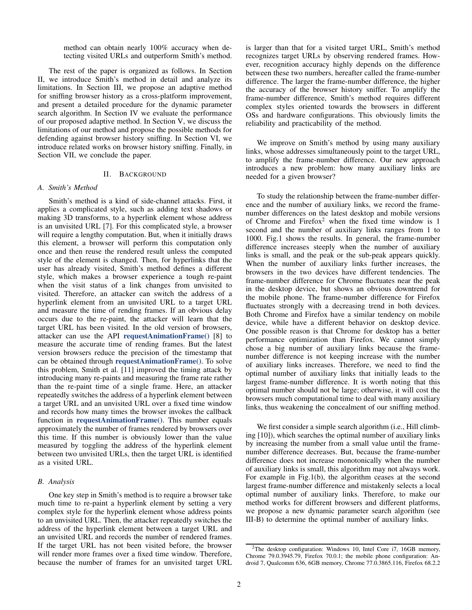method can obtain nearly 100% accuracy when detecting visited URLs and outperform Smith's method.

The rest of the paper is organized as follows. In Section [II,](#page-1-0) we introduce Smith's method in detail and analyze its limitations. In Section [III,](#page-2-0) we propose an adaptive method for sniffing browser history as a cross-platform improvement, and present a detailed procedure for the dynamic parameter search algorithm. In Section [IV](#page-3-0) we evaluate the performance of our proposed adaptive method. In Section [V,](#page-5-0) we discuss the limitations of our method and propose the possible methods for defending against browser history sniffing. In Section [VI,](#page-5-1) we introduce related works on browser history sniffing. Finally, in Section [VII,](#page-5-2) we conclude the paper.

#### II. BACKGROUND

#### <span id="page-1-0"></span>*A. Smith's Method*

Smith's method is a kind of side-channel attacks. First, it applies a complicated style, such as adding text shadows or making 3D transforms, to a hyperlink element whose address is an unvisited URL [\[7\]](#page-6-5). For this complicated style, a browser will require a lengthy computation. But, when it initially draws this element, a browser will perform this computation only once and then reuse the rendered result unless the computed style of the element is changed. Then, for hyperlinks that the user has already visited, Smith's method defines a different style, which makes a browser experience a tough re-paint when the visit status of a link changes from unvisited to visited. Therefore, an attacker can switch the address of a hyperlink element from an unvisited URL to a target URL and measure the time of rending frames. If an obvious delay occurs due to the re-paint, the attacker will learn that the target URL has been visited. In the old version of browsers, attacker can use the API requestAnimationFrame() [\[8\]](#page-6-6) to measure the accurate time of rending frames. But the latest version browsers reduce the precision of the timestamp that can be obtained through requestAnimationFrame(). To solve this problem, Smith et al. [\[11\]](#page-6-4) improved the timing attack by introducing many re-paints and measuring the frame rate rather than the re-paint time of a single frame. Here, an attacker repeatedly switches the address of a hyperlink element between a target URL and an unvisited URL over a fixed time window and records how many times the browser invokes the callback function in requestAnimationFrame(). This number equals approximately the number of frames rendered by browsers over this time. If this number is obviously lower than the value measured by toggling the address of the hyperlink element between two unvisited URLs, then the target URL is identified as a visited URL.

# <span id="page-1-2"></span>*B. Analysis*

One key step in Smith's method is to require a browser take much time to re-paint a hyperlink element by setting a very complex style for the hyperlink element whose address points to an unvisited URL. Then, the attacker repeatedly switches the address of the hyperlink element between a target URL and an unvisited URL and records the number of rendered frames. If the target URL has not been visited before, the browser will render more frames over a fixed time window. Therefore, because the number of frames for an unvisited target URL is larger than that for a visited target URL, Smith's method recognizes target URLs by observing rendered frames. However, recognition accuracy highly depends on the difference between these two numbers, hereafter called the frame-number difference. The larger the frame-number difference, the higher the accuracy of the browser history sniffer. To amplify the frame-number difference, Smith's method requires different complex styles oriented towards the browsers in different OSs and hardware configurations. This obviously limits the reliability and practicability of the method.

We improve on Smith's method by using many auxiliary links, whose addresses simultaneously point to the target URL, to amplify the frame-number difference. Our new approach introduces a new problem: how many auxiliary links are needed for a given browser?

To study the relationship between the frame-number difference and the number of auxiliary links, we record the framenumber differences on the latest desktop and mobile versions of Chrome and Firefox<sup>[2](#page-1-1)</sup> when the fixed time window is 1 second and the number of auxiliary links ranges from 1 to 1000. Fig[.1](#page-2-1) shows the results. In general, the frame-number difference increases steeply when the number of auxiliary links is small, and the peak or the sub-peak appears quickly. When the number of auxiliary links further increases, the browsers in the two devices have different tendencies. The frame-number difference for Chrome fluctuates near the peak in the desktop device, but shows an obvious downtrend for the mobile phone. The frame-number difference for Firefox fluctuates strongly with a decreasing trend in both devices. Both Chrome and Firefox have a similar tendency on mobile device, while have a different behavior on desktop device. One possible reason is that Chrome for desktop has a better performance optimization than Firefox. We cannot simply chose a big number of auxiliary links because the framenumber difference is not keeping increase with the number of auxiliary links increases. Therefore, we need to find the optimal number of auxiliary links that initially leads to the largest frame-number difference. It is worth noting that this optimal number should not be large; otherwise, it will cost the browsers much computational time to deal with many auxiliary links, thus weakening the concealment of our sniffing method.

We first consider a simple search algorithm (i.e., Hill climbing [\[10\]](#page-6-7)), which searches the optimal number of auxiliary links by increasing the number from a small value until the framenumber difference decreases. But, because the frame-number difference does not increase monotonically when the number of auxiliary links is small, this algorithm may not always work. For example in Fig[.1\(](#page-2-1)b), the algorithm ceases at the second largest frame-number difference and mistakenly selects a local optimal number of auxiliary links. Therefore, to make our method works for different browsers and different platforms, we propose a new dynamic parameter search algorithm (see [III-B\)](#page-2-2) to determine the optimal number of auxiliary links.

<span id="page-1-1"></span><sup>2</sup>The desktop configuration: Windows 10, Intel Core i7, 16GB memory, Chrome 79.0.3945.79, Firefox 70.0.1; the mobile phone configuration: Android 7, Qualcomm 636, 6GB memory, Chrome 77.0.3865.116, Firefox 68.2.2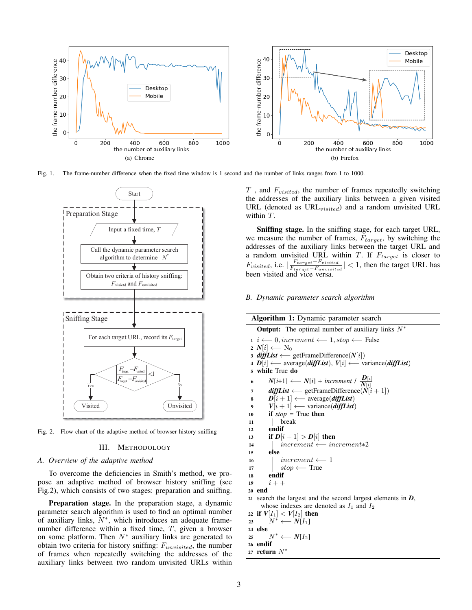

Fig. 1. The frame-number difference when the fixed time window is 1 second and the number of links ranges from 1 to 1000.



<span id="page-2-0"></span>Fig. 2. Flow chart of the adaptive method of browser history sniffing

#### III. METHODOLOGY

## *A. Overview of the adaptive method*

To overcome the deficiencies in Smith's method, we propose an adaptive method of browser history sniffing (see Fig[.2\)](#page-2-3), which consists of two stages: preparation and sniffing.

Preparation stage. In the preparation stage, a dynamic parameter search algorithm is used to find an optimal number of auxiliary links,  $\bar{N}^*$ , which introduces an adequate framenumber difference within a fixed time, T, given a browser on some platform. Then  $N^*$  auxiliary links are generated to obtain two criteria for history sniffing:  $F_{unvisited}$ , the number of frames when repeatedly switching the addresses of the auxiliary links between two random unvisited URLs within

<span id="page-2-1"></span> $T$ , and  $F_{visited}$ , the number of frames repeatedly switching the addresses of the auxiliary links between a given visited URL (denoted as  $URL_{visited}$ ) and a random unvisited URL within T.

Sniffing stage. In the sniffing stage, for each target URL, we measure the number of frames,  $F_{target}$ , by switching the addresses of the auxiliary links between the target URL and a random unvisited URL within  $T$ . If  $F_{target}$  is closer to  $F_{visited}$ , i.e.  $\frac{F_{target} - F_{visited}}{F_{transfer} - F_{unuistic}}$  $\frac{F_{target} - F_{visited}}{F_{target} - F_{unvisited}}$  | < 1, then the target URL has been visited and vice versa.

## <span id="page-2-4"></span><span id="page-2-2"></span>*B. Dynamic parameter search algorithm*

<span id="page-2-3"></span>

| <b>Output:</b> The optimal number of auxiliary links $N^*$<br>$i \leftarrow 0$ , increment $\leftarrow 1$ , stop $\leftarrow$ False<br>$2 N[i] \longleftarrow N_0$<br>3 <i>diffList</i> $\longleftarrow$ getFrameDifference(N[i])<br>4 $D[i] \longleftarrow$ average( <i>diffList</i> ), $V[i] \longleftarrow$ variance( <i>diffList</i> )<br>while True do<br>5<br>$N[i+1] \longleftarrow N[i] + increment / \frac{D[i]}{N[i]}$<br>6<br>$diffList \longleftarrow$ getFrameDifference( $N[i+1]$ )<br>7<br>$D[i+1] \longleftarrow \text{average}(diffList)$<br>8<br>$V[i+1] \longleftarrow$ variance( <i>diffList</i> )<br>9<br>if $stop$ = True then<br>10<br>break<br>11<br>endif<br>12<br>if $D[i+1] > D[i]$ then<br>13<br>$increment \longleftarrow increment *2$<br>14<br>else<br>15<br>$increment \leftarrow 1$<br>16<br>$stop \longleftarrow True$<br>17<br>endif<br>18<br>$i++$<br>19<br>20 end<br>21 search the largest and the second largest elements in $D$ ,<br>whose indexes are denoted as $I_1$ and $I_2$<br>22 if $V[I_1] < V[I_2]$ then<br>$\mid N^* \longleftarrow N[I_1]$<br>23<br>24 else<br>$\mid N^* \longleftarrow N[I_2]$<br>25<br>26 endif<br>27 return $N^*$ | Algorithm 1: Dynamic parameter search |
|----------------------------------------------------------------------------------------------------------------------------------------------------------------------------------------------------------------------------------------------------------------------------------------------------------------------------------------------------------------------------------------------------------------------------------------------------------------------------------------------------------------------------------------------------------------------------------------------------------------------------------------------------------------------------------------------------------------------------------------------------------------------------------------------------------------------------------------------------------------------------------------------------------------------------------------------------------------------------------------------------------------------------------------------------------------------------------------------------------------------------------------------------------------------------------------|---------------------------------------|
|                                                                                                                                                                                                                                                                                                                                                                                                                                                                                                                                                                                                                                                                                                                                                                                                                                                                                                                                                                                                                                                                                                                                                                                        |                                       |
|                                                                                                                                                                                                                                                                                                                                                                                                                                                                                                                                                                                                                                                                                                                                                                                                                                                                                                                                                                                                                                                                                                                                                                                        |                                       |
|                                                                                                                                                                                                                                                                                                                                                                                                                                                                                                                                                                                                                                                                                                                                                                                                                                                                                                                                                                                                                                                                                                                                                                                        |                                       |
|                                                                                                                                                                                                                                                                                                                                                                                                                                                                                                                                                                                                                                                                                                                                                                                                                                                                                                                                                                                                                                                                                                                                                                                        |                                       |
|                                                                                                                                                                                                                                                                                                                                                                                                                                                                                                                                                                                                                                                                                                                                                                                                                                                                                                                                                                                                                                                                                                                                                                                        |                                       |
|                                                                                                                                                                                                                                                                                                                                                                                                                                                                                                                                                                                                                                                                                                                                                                                                                                                                                                                                                                                                                                                                                                                                                                                        |                                       |
|                                                                                                                                                                                                                                                                                                                                                                                                                                                                                                                                                                                                                                                                                                                                                                                                                                                                                                                                                                                                                                                                                                                                                                                        |                                       |
|                                                                                                                                                                                                                                                                                                                                                                                                                                                                                                                                                                                                                                                                                                                                                                                                                                                                                                                                                                                                                                                                                                                                                                                        |                                       |
|                                                                                                                                                                                                                                                                                                                                                                                                                                                                                                                                                                                                                                                                                                                                                                                                                                                                                                                                                                                                                                                                                                                                                                                        |                                       |
|                                                                                                                                                                                                                                                                                                                                                                                                                                                                                                                                                                                                                                                                                                                                                                                                                                                                                                                                                                                                                                                                                                                                                                                        |                                       |
|                                                                                                                                                                                                                                                                                                                                                                                                                                                                                                                                                                                                                                                                                                                                                                                                                                                                                                                                                                                                                                                                                                                                                                                        |                                       |
|                                                                                                                                                                                                                                                                                                                                                                                                                                                                                                                                                                                                                                                                                                                                                                                                                                                                                                                                                                                                                                                                                                                                                                                        |                                       |
|                                                                                                                                                                                                                                                                                                                                                                                                                                                                                                                                                                                                                                                                                                                                                                                                                                                                                                                                                                                                                                                                                                                                                                                        |                                       |
|                                                                                                                                                                                                                                                                                                                                                                                                                                                                                                                                                                                                                                                                                                                                                                                                                                                                                                                                                                                                                                                                                                                                                                                        |                                       |
|                                                                                                                                                                                                                                                                                                                                                                                                                                                                                                                                                                                                                                                                                                                                                                                                                                                                                                                                                                                                                                                                                                                                                                                        |                                       |
|                                                                                                                                                                                                                                                                                                                                                                                                                                                                                                                                                                                                                                                                                                                                                                                                                                                                                                                                                                                                                                                                                                                                                                                        |                                       |
|                                                                                                                                                                                                                                                                                                                                                                                                                                                                                                                                                                                                                                                                                                                                                                                                                                                                                                                                                                                                                                                                                                                                                                                        |                                       |
|                                                                                                                                                                                                                                                                                                                                                                                                                                                                                                                                                                                                                                                                                                                                                                                                                                                                                                                                                                                                                                                                                                                                                                                        |                                       |
|                                                                                                                                                                                                                                                                                                                                                                                                                                                                                                                                                                                                                                                                                                                                                                                                                                                                                                                                                                                                                                                                                                                                                                                        |                                       |
|                                                                                                                                                                                                                                                                                                                                                                                                                                                                                                                                                                                                                                                                                                                                                                                                                                                                                                                                                                                                                                                                                                                                                                                        |                                       |
|                                                                                                                                                                                                                                                                                                                                                                                                                                                                                                                                                                                                                                                                                                                                                                                                                                                                                                                                                                                                                                                                                                                                                                                        |                                       |
|                                                                                                                                                                                                                                                                                                                                                                                                                                                                                                                                                                                                                                                                                                                                                                                                                                                                                                                                                                                                                                                                                                                                                                                        |                                       |
|                                                                                                                                                                                                                                                                                                                                                                                                                                                                                                                                                                                                                                                                                                                                                                                                                                                                                                                                                                                                                                                                                                                                                                                        |                                       |
|                                                                                                                                                                                                                                                                                                                                                                                                                                                                                                                                                                                                                                                                                                                                                                                                                                                                                                                                                                                                                                                                                                                                                                                        |                                       |
|                                                                                                                                                                                                                                                                                                                                                                                                                                                                                                                                                                                                                                                                                                                                                                                                                                                                                                                                                                                                                                                                                                                                                                                        |                                       |
|                                                                                                                                                                                                                                                                                                                                                                                                                                                                                                                                                                                                                                                                                                                                                                                                                                                                                                                                                                                                                                                                                                                                                                                        |                                       |
|                                                                                                                                                                                                                                                                                                                                                                                                                                                                                                                                                                                                                                                                                                                                                                                                                                                                                                                                                                                                                                                                                                                                                                                        |                                       |
|                                                                                                                                                                                                                                                                                                                                                                                                                                                                                                                                                                                                                                                                                                                                                                                                                                                                                                                                                                                                                                                                                                                                                                                        |                                       |
|                                                                                                                                                                                                                                                                                                                                                                                                                                                                                                                                                                                                                                                                                                                                                                                                                                                                                                                                                                                                                                                                                                                                                                                        |                                       |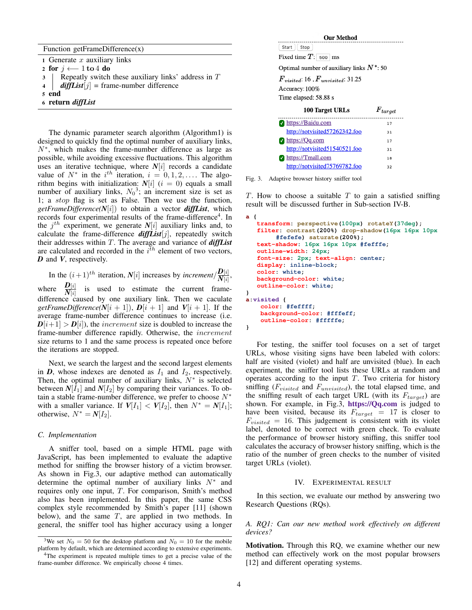|  | Function getFrameDifference(x) |  |  |
|--|--------------------------------|--|--|
|--|--------------------------------|--|--|

1 Generate  $x$  auxiliary links

2 for  $j \leftarrow 1$  to 4 do

 $3$  Repeatly switch these auxiliary links' address in T

4  $\int$  *diffList* $[j]$  = frame-number difference

5 end

<sup>6</sup> return *diffList*

The dynamic parameter search algorithm (Algorith[m1\)](#page-2-4) is designed to quickly find the optimal number of auxiliary links, N<sup>∗</sup> , which makes the frame-number difference as large as possible, while avoiding excessive fluctuations. This algorithm uses an iterative technique, where *N*[i] records a candidate value of  $N^*$  in the  $i^{th}$  iteration,  $i = 0, 1, 2, \ldots$ . The algorithm begins with initialization:  $N[i]$  ( $i = 0$ ) equals a small number of auxiliary links,  $N_0^3$  $N_0^3$ ; an increment size is set as 1; a stop flag is set as False. Then we use the function, *getFrameDifference(N*[i]) to obtain a vector *diffList*, which records four experimental results of the frame-difference<sup>[4](#page-3-2)</sup>. In the  $j^{th}$  experiment, we generate  $N[i]$  auxiliary links and, to calculate the frame-difference *diffList*[j], repeatedly switch their addresses within T. The average and variance of *diffList* are calculated and recorded in the  $i^{\bar{t}h}$  element of two vectors, *D* and *V*, respectively.

In the  $(i+1)^{th}$  iteration, *N*[i] increases by *increment*  $\frac{D[i]}{N^{[i]}}$  $\frac{\boldsymbol{D}[i]}{N[i]},$ where  $\frac{\mathbf{D}[i]}{N[i]}$  is used to estimate the current framedifference caused by one auxiliary link. Then we caculate *getFrameDifference(N*[i + 1]),  $D[i + 1]$  and  $V[i + 1]$ . If the average frame-number difference continues to increase (i.e.  $D[i+1] > D[i]$ , the *increment* size is doubled to increase the frame-number difference rapidly. Otherwise, the increment size returns to 1 and the same process is repeated once before the iterations are stopped.

Next, we search the largest and the second largest elements in  $D$ , whose indexes are denoted as  $I_1$  and  $I_2$ , respectively. Then, the optimal number of auxiliary links,  $N^*$  is selected between  $N[I_1]$  and  $N[I_2]$  by comparing their variances. To obtain a stable frame-number difference, we prefer to choose  $N^*$ with a smaller variance. If  $V[I_1] < V[I_2]$ , then  $N^* = N[I_1]$ ; otherwise,  $N^* = N[I_2]$ .

## *C. Implementation*

A sniffer tool, based on a simple HTML page with JavaScript, has been implemented to evaluate the adaptive method for sniffing the browser history of a victim browser. As shown in Fig[.3,](#page-3-3) our adaptive method can automatically determine the optimal number of auxiliary links  $N^*$  and requires only one input, T. For comparison, Smith's method also has been implemented. In this paper, the same CSS complex style recommended by Smith's paper [\[11\]](#page-6-4) (shown below), and the same  $T$ , are applied in two methods. In general, the sniffer tool has higher accuracy using a longer

**Our Method** Start Stop Fixed time  $T$ : 500 ms Optimal number of auxiliary links  $N^*$ : 50  $F_{visited}$ : 16,  $F_{unvisited}$ : 31.25 Accuracy: 100%

Time elapsed: 58.88 s

<span id="page-3-3"></span>

| 100 Target URLs               | $F_{target}$ |
|-------------------------------|--------------|
| https://Baidu.com             | 17           |
| http://notvisited57262342.foo | 31           |
| https://Qq.com                | 17           |
| http://notvisited51540521.foo | 31           |
| https://Tmall.com             | 18           |
| http://notvisited75769782.foo | 32           |

Fig. 3. Adaptive browser history sniffer tool

 $T$ . How to choose a suitable  $T$  to gain a satisfied sniffing result will be discussed further in Sub-section [IV-B.](#page-4-0)

```
a {
   transform: perspective(100px) rotateY(37deg);
   filter: contrast(200%) drop-shadow(16px 16px 10px
        #fefefe) saturate(200%);
   text-shadow: 16px 16px 10px #fefffe;
   outline-width: 24px;
   font-size: 2px; text-align: center;
   display: inline-block;
   color: white;
   background-color: white;
   outline-color: white;
}
a:visited {
    color: #feffff;
    background-color: #fffeff;
    outline-color: #fffffe;
}
```
For testing, the sniffer tool focuses on a set of target URLs, whose visiting signs have been labeled with colors: half are visited (violet) and half are unvisited (blue). In each experiment, the sniffer tool lists these URLs at random and operates according to the input  $T$ . Two criteria for history sniffing  $(F_{visited}$  and  $F_{unvisited}$ , the total elapsed time, and the sniffing result of each target URL (with its  $F_{target}$ ) are shown. For example, in Fig[.3,](#page-3-3) https://Qq.com is judged to have been visited, because its  $F_{target} = 17$  is closer to  $F_{visited}$  = 16. This judgement is consistent with its violet label, denoted to be correct with green check. To evaluate the performance of browser history sniffing, this sniffer tool calculates the accuracy of browser history sniffing, which is the ratio of the number of green checks to the number of visited target URLs (violet).

## IV. EXPERIMENTAL RESULT

<span id="page-3-0"></span>In this section, we evaluate our method by answering two Research Questions (RQs).

# *A. RQ1: Can our new method work effectively on different devices?*

Motivation. Through this RQ, we examine whether our new method can effectively work on the most popular browsers [\[12\]](#page-6-8) and different operating systems.

<span id="page-3-1"></span><sup>&</sup>lt;sup>3</sup>We set  $N_0 = 50$  for the desktop platform and  $N_0 = 10$  for the mobile platform by default, which are determined according to extensive experiments.

<span id="page-3-2"></span><sup>&</sup>lt;sup>4</sup>The experiment is repeated multiple times to get a precise value of the frame-number difference. We empirically choose 4 times.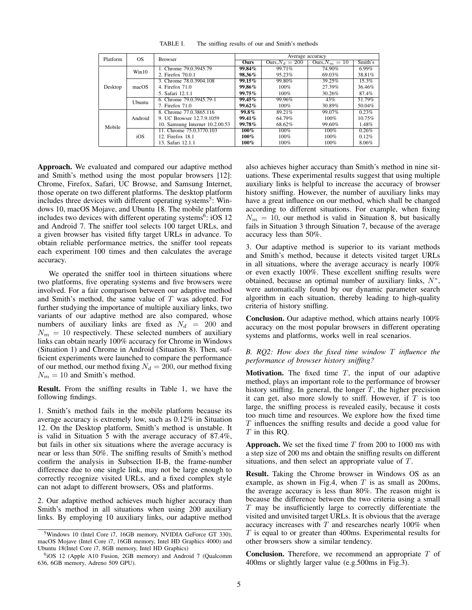| Platform | OS      | <b>Browser</b>                  | Average accuracy |                   |                  |         |
|----------|---------|---------------------------------|------------------|-------------------|------------------|---------|
|          |         |                                 | <b>Ours</b>      | Ours, $N_d = 200$ | Ours, $N_m = 10$ | Smith's |
| Desktop  | Win10   | 1. Chrome 79.0.3945.79          | 99.84%           | 99.71%            | 74.90%           | 6.99%   |
|          |         | 2. Firefox 70.0.1               | 98.36%           | 95.23%            | 69.03%           | 38.81%  |
|          | macOS   | 3. Chrome 78.0.3904.108         | $99.15\%$        | 99.80%            | 39.25%           | 15.3%   |
|          |         | 4. Firefox 71.0                 | 99.86%           | $100\%$           | 27.39%           | 36.46%  |
|          |         | 5. Safari 12.1.1                | $99.75\%$        | $100\%$           | 30.26%           | 87.4%   |
|          | Ubuntu  | 6. Chrome 79.0.3945.79-1        | $99.45\%$        | 99.96%            | 43%              | 51.79%  |
|          |         | 7. Firefox 71.0                 | $99.62\%$        | $100\%$           | 30.89%           | 50.04%  |
| Mobile   | Android | 8. Chrome 77.0.3865.116         | $99.8\%$         | 89.21%            | 99.07%           | 0.23%   |
|          |         | 9. UC Browser 12.7.9.1059       | $99.41\%$        | 64.79%            | $100\%$          | 10.75%  |
|          |         | 10. Samsung Internet 10.2.00.53 | 99.78%           | 68.62%            | 99.60%           | 1.48%   |
|          | iOS     | 11. Chrome 75.0.3770.103        | $100\%$          | 100%              | $100\%$          | 0.26%   |
|          |         | 12. Firefox 18.1                | $100\%$          | $100\%$           | $100\%$          | 0.12%   |
|          |         | 13. Safari 12.1.1               | $100\%$          | $100\%$           | $100\%$          | 8.06%   |

TABLE I. The sniffing results of our and Smith's methods

Approach. We evaluated and compared our adaptive method and Smith's method using the most popular browsers [\[12\]](#page-6-8): Chrome, Firefox, Safari, UC Browse, and Samsung Internet, those operate on two different platforms. The desktop platform includes three devices with different operating systems<sup>[5](#page-4-1)</sup>: Windows 10, macOS Mojave, and Ubuntu 18. The mobile platform includes two devices with different operating systems<sup>[6](#page-4-2)</sup>: iOS 12 and Android 7. The sniffer tool selects 100 target URLs, and a given browser has visited fifty target URLs in advance. To obtain reliable performance metrics, the sniffer tool repeats each experiment 100 times and then calculates the average accuracy.

We operated the sniffer tool in thirteen situations where two platforms, five operating systems and five browsers were involved. For a fair comparison between our adaptive method and Smith's method, the same value of T was adopted. For further studying the importance of multiple auxiliary links, two variants of our adaptive method are also compared, whose numbers of auxiliary links are fixed as  $N_d = 200$  and  $N_m = 10$  respectively. These selected numbers of auxiliary links can obtain nearly 100% accuracy for Chrome in Windows (Situation 1) and Chrome in Android (Situation 8). Then, sufficient experiments were launched to compare the performance of our method, our method fixing  $N_d = 200$ , our method fixing  $N_m = 10$  and Smith's method.

Result. From the sniffing results in Table 1, we have the following findings.

1. Smith's method fails in the mobile platform because its average accuracy is extremely low, such as 0.12% in Situation 12. On the Desktop platform, Smith's method is unstable. It is valid in Situation 5 with the average accuracy of 87.4%, but fails in other six situations where the average accuracy is near or less than 50%. The sniffing results of Smith's method confirm the analysis in Subsection [II-B,](#page-1-2) the frame-number difference due to one single link, may not be large enough to correctly recognize visited URLs, and a fixed complex style can not adapt to different browsers, OSs and platforms.

2. Our adaptive method achieves much higher accuracy than Smith's method in all situations when using 200 auxiliary links. By employing 10 auxiliary links, our adaptive method also achieves higher accuracy than Smith's method in nine situations. These experimental results suggest that using multiple auxiliary links is helpful to increase the accuracy of browser history sniffing. However, the number of auxiliary links may have a great influence on our method, which shall be changed according to different situations. For example, when fixing  $N_m = 10$ , our method is valid in Situation 8, but basically fails in Situation 3 through Situation 7, because of the average accuracy less than 50%.

3. Our adaptive method is superior to its variant methods and Smith's method, because it detects visited target URLs in all situations, where the average accuracy is nearly 100% or even exactly 100%. These excellent sniffing results were obtained, because an optimal number of auxiliary links,  $N^*$ , were automatically found by our dynamic parameter search algorithm in each situation, thereby leading to high-quality criteria of history sniffing.

Conclusion. Our adaptive method, which attains nearly 100% accuracy on the most popular browsers in different operating systems and platforms, works well in real scenarios.

# <span id="page-4-0"></span>*B. RQ2: How does the fixed time window* T *influence the performance of browser history sniffing?*

**Motivation.** The fixed time  $T$ , the input of our adaptive method, plays an important role to the performance of browser history sniffing. In general, the longer  $T$ , the higher precision it can get, also more slowly to sniff. However, if  $T$  is too large, the sniffing process is revealed easily, because it costs too much time and resources. We explore how the fixed time T influences the sniffing results and decide a good value for  $T$  in this RQ.

Approach. We set the fixed time  $T$  from 200 to 1000 ms with a step size of 200 ms and obtain the sniffing results on different situations, and then select an appropriate value of T.

Result. Taking the Chrome browser in Windows OS as an example, as shown in Fig.4, when  $T$  is as small as 200ms, the average accuracy is less than 80%. The reason might is because the difference between the two criteria using a small T may be insufficiently large to correctly differentiate the visited and unvisited target URLs. It is obvious that the average accuracy increases with  $T$  and researches nearly 100% when  $T$  is equal to or greater than 400ms. Experimental results for other browsers show a similar tendency.

**Conclusion.** Therefore, we recommend an appropriate  $T$  of 400ms or slightly larger value (e.g.500ms in Fig[.3\)](#page-3-3).

<span id="page-4-1"></span><sup>5</sup>Windows 10 (Intel Core i7, 16GB memory, NVIDIA GeForce GT 330), macOS Mojave (Intel Core i7, 16GB memory, Intel HD Graphics 4000) and Ubuntu 18(Intel Core i7, 8GB memory, Intel HD Graphics)

<span id="page-4-2"></span><sup>6</sup> iOS 12 (Apple A10 Fusion, 2GB memory) and Android 7 (Qualcomm 636, 6GB memory, Adreno 509 GPU).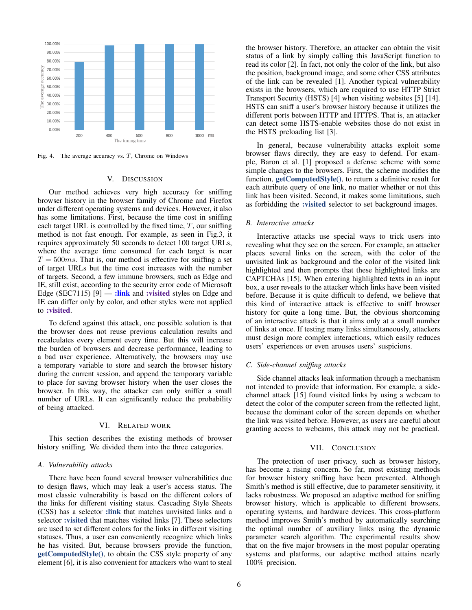

Fig. 4. The average accuracy vs.  $T$ , Chrome on Windows

## V. DISCUSSION

<span id="page-5-0"></span>Our method achieves very high accuracy for sniffing browser history in the browser family of Chrome and Firefox under different operating systems and devices. However, it also has some limitations. First, because the time cost in sniffing each target URL is controlled by the fixed time,  $T$ , our sniffing method is not fast enough. For example, as seen in Fig[.3,](#page-3-3) it requires approximately 50 seconds to detect 100 target URLs, where the average time consumed for each target is near  $T = 500$ ms. That is, our method is effective for sniffing a set of target URLs but the time cost increases with the number of targets. Second, a few immune browsers, such as Edge and IE, still exist, according to the security error code of Microsoft Edge (SEC7115)  $[9]$  — :link and :visited styles on Edge and IE can differ only by color, and other styles were not applied to :visited.

To defend against this attack, one possible solution is that the browser does not reuse previous calculation results and recalculates every element every time. But this will increase the burden of browsers and decrease performance, leading to a bad user experience. Alternatively, the browsers may use a temporary variable to store and search the browser history during the current session, and append the temporary variable to place for saving browser history when the user closes the browser. In this way, the attacker can only sniffer a small number of URLs. It can significantly reduce the probability of being attacked.

#### VI. RELATED WORK

<span id="page-5-1"></span>This section describes the existing methods of browser history sniffing. We divided them into the three categories.

#### *A. Vulnerability attacks*

There have been found several browser vulnerabilities due to design flaws, which may leak a user's access status. The most classic vulnerability is based on the different colors of the links for different visiting status. Cascading Style Sheets (CSS) has a selector :link that matches unvisited links and a selector : visited that matches visited links [\[7\]](#page-6-5). These selectors are used to set different colors for the links in different visiting statuses. Thus, a user can conveniently recognize which links he has visited. But, because browsers provide the function, getComputedStyle(), to obtain the CSS style property of any element [\[6\]](#page-6-10), it is also convenient for attackers who want to steal the browser history. Therefore, an attacker can obtain the visit status of a link by simply calling this JavaScript function to read its color [\[2\]](#page-6-1). In fact, not only the color of the link, but also the position, background image, and some other CSS attributes of the link can be revealed [\[1\]](#page-6-2). Another typical vulnerability exists in the browsers, which are required to use HTTP Strict Transport Security (HSTS) [\[4\]](#page-6-11) when visiting websites [\[5\]](#page-6-12) [\[14\]](#page-6-13). HSTS can sniff a user's browser history because it utilizes the different ports between HTTP and HTTPS. That is, an attacker can detect some HSTS-enable websites those do not exist in the HSTS preloading list [\[3\]](#page-6-14).

In general, because vulnerability attacks exploit some browser flaws directly, they are easy to defend. For example, Baron et al. [\[1\]](#page-6-2) proposed a defense scheme with some simple changes to the browsers. First, the scheme modifies the function, getComputedStyle(), to return a definitive result for each attribute query of one link, no matter whether or not this link has been visited. Second, it makes some limitations, such as forbidding the :visited selector to set background images.

## *B. Interactive attacks*

Interactive attacks use special ways to trick users into revealing what they see on the screen. For example, an attacker places several links on the screen, with the color of the unvisited link as background and the color of the visited link highlighted and then prompts that these highlighted links are CAPTCHAs [\[15\]](#page-6-0). When entering highlighted texts in an input box, a user reveals to the attacker which links have been visited before. Because it is quite difficult to defend, we believe that this kind of interactive attack is effective to sniff browser history for quite a long time. But, the obvious shortcoming of an interactive attack is that it aims only at a small number of links at once. If testing many links simultaneously, attackers must design more complex interactions, which easily reduces users' experiences or even arouses users' suspicions.

#### *C. Side-channel sniffing attacks*

Side channel attacks leak information through a mechanism not intended to provide that information. For example, a sidechannel attack [\[15\]](#page-6-0) found visited links by using a webcam to detect the color of the computer screen from the reflected light, because the dominant color of the screen depends on whether the link was visited before. However, as users are careful about granting access to webcams, this attack may not be practical.

#### VII. CONCLUSION

<span id="page-5-2"></span>The protection of user privacy, such as browser history, has become a rising concern. So far, most existing methods for browser history sniffing have been prevented. Although Smith's method is still effective, due to parameter sensitivity, it lacks robustness. We proposed an adaptive method for sniffing browser history, which is applicable to different browsers, operating systems, and hardware devices. This cross-platform method improves Smith's method by automatically searching the optimal number of auxiliary links using the dynamic parameter search algorithm. The experimental results show that on the five major browsers in the most popular operating systems and platforms, our adaptive method attains nearly 100% precision.